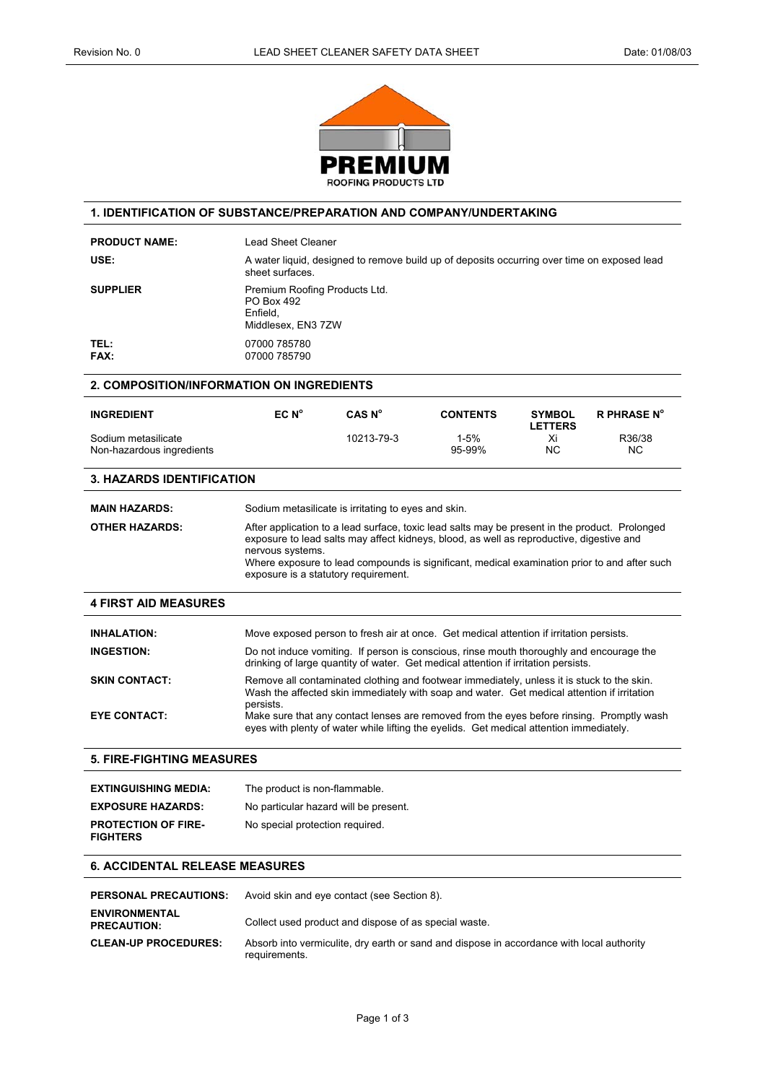

## **1. IDENTIFICATION OF SUBSTANCE/PREPARATION AND COMPANY/UNDERTAKING**

| <b>PRODUCT NAME:</b>                             | Lead Sheet Cleaner                                                                                                                                                                                                                                                                                                                                     |                    |                                                                                                                                                                                      |                                 |                     |
|--------------------------------------------------|--------------------------------------------------------------------------------------------------------------------------------------------------------------------------------------------------------------------------------------------------------------------------------------------------------------------------------------------------------|--------------------|--------------------------------------------------------------------------------------------------------------------------------------------------------------------------------------|---------------------------------|---------------------|
| USE:                                             | A water liquid, designed to remove build up of deposits occurring over time on exposed lead<br>sheet surfaces.                                                                                                                                                                                                                                         |                    |                                                                                                                                                                                      |                                 |                     |
| <b>SUPPLIER</b>                                  | Premium Roofing Products Ltd.<br>PO Box 492<br>Enfield.<br>Middlesex, EN3 7ZW                                                                                                                                                                                                                                                                          |                    |                                                                                                                                                                                      |                                 |                     |
| TEL:<br>FAX:                                     | 07000 785780<br>07000 785790                                                                                                                                                                                                                                                                                                                           |                    |                                                                                                                                                                                      |                                 |                     |
| <b>2. COMPOSITION/INFORMATION ON INGREDIENTS</b> |                                                                                                                                                                                                                                                                                                                                                        |                    |                                                                                                                                                                                      |                                 |                     |
| <b>INGREDIENT</b>                                | EC N <sup>o</sup>                                                                                                                                                                                                                                                                                                                                      | CAS N <sup>o</sup> | <b>CONTENTS</b>                                                                                                                                                                      | <b>SYMBOL</b><br><b>LETTERS</b> | <b>R PHRASE N°</b>  |
| Sodium metasilicate<br>Non-hazardous ingredients |                                                                                                                                                                                                                                                                                                                                                        | 10213-79-3         | $1 - 5%$<br>95-99%                                                                                                                                                                   | Xi<br><b>NC</b>                 | R36/38<br><b>NC</b> |
| <b>3. HAZARDS IDENTIFICATION</b>                 |                                                                                                                                                                                                                                                                                                                                                        |                    |                                                                                                                                                                                      |                                 |                     |
| <b>MAIN HAZARDS:</b>                             | Sodium metasilicate is irritating to eyes and skin.                                                                                                                                                                                                                                                                                                    |                    |                                                                                                                                                                                      |                                 |                     |
| <b>OTHER HAZARDS:</b>                            | After application to a lead surface, toxic lead salts may be present in the product. Prolonged<br>exposure to lead salts may affect kidneys, blood, as well as reproductive, digestive and<br>nervous systems.<br>Where exposure to lead compounds is significant, medical examination prior to and after such<br>exposure is a statutory requirement. |                    |                                                                                                                                                                                      |                                 |                     |
| <b>4 FIRST AID MEASURES</b>                      |                                                                                                                                                                                                                                                                                                                                                        |                    |                                                                                                                                                                                      |                                 |                     |
| <b>INHALATION:</b>                               | Move exposed person to fresh air at once. Get medical attention if irritation persists.                                                                                                                                                                                                                                                                |                    |                                                                                                                                                                                      |                                 |                     |
| <b>INGESTION:</b>                                | Do not induce vomiting. If person is conscious, rinse mouth thoroughly and encourage the<br>drinking of large quantity of water. Get medical attention if irritation persists.                                                                                                                                                                         |                    |                                                                                                                                                                                      |                                 |                     |
| <b>SKIN CONTACT:</b>                             | Remove all contaminated clothing and footwear immediately, unless it is stuck to the skin.<br>Wash the affected skin immediately with soap and water. Get medical attention if irritation<br>persists.                                                                                                                                                 |                    |                                                                                                                                                                                      |                                 |                     |
| <b>EYE CONTACT:</b>                              |                                                                                                                                                                                                                                                                                                                                                        |                    | Make sure that any contact lenses are removed from the eyes before rinsing. Promptly wash<br>eyes with plenty of water while lifting the eyelids. Get medical attention immediately. |                                 |                     |
| <b>5. FIRE-FIGHTING MEASURES</b>                 |                                                                                                                                                                                                                                                                                                                                                        |                    |                                                                                                                                                                                      |                                 |                     |
| <b>EXTINGUISHING MEDIA:</b>                      | The product is non-flammable.                                                                                                                                                                                                                                                                                                                          |                    |                                                                                                                                                                                      |                                 |                     |
| <b>EXPOSURE HAZARDS:</b>                         | No particular hazard will be present.                                                                                                                                                                                                                                                                                                                  |                    |                                                                                                                                                                                      |                                 |                     |
| <b>PROTECTION OF FIRE-</b><br><b>FIGHTERS</b>    | No special protection required.                                                                                                                                                                                                                                                                                                                        |                    |                                                                                                                                                                                      |                                 |                     |
| <b>6. ACCIDENTAL RELEASE MEASURES</b>            |                                                                                                                                                                                                                                                                                                                                                        |                    |                                                                                                                                                                                      |                                 |                     |

| <b>PERSONAL PRECAUTIONS:</b>               | Avoid skin and eye contact (see Section 8).                                                                |
|--------------------------------------------|------------------------------------------------------------------------------------------------------------|
| <b>ENVIRONMENTAL</b><br><b>PRECAUTION:</b> | Collect used product and dispose of as special waste.                                                      |
| <b>CLEAN-UP PROCEDURES:</b>                | Absorb into vermiculite, dry earth or sand and dispose in accordance with local authority<br>requirements. |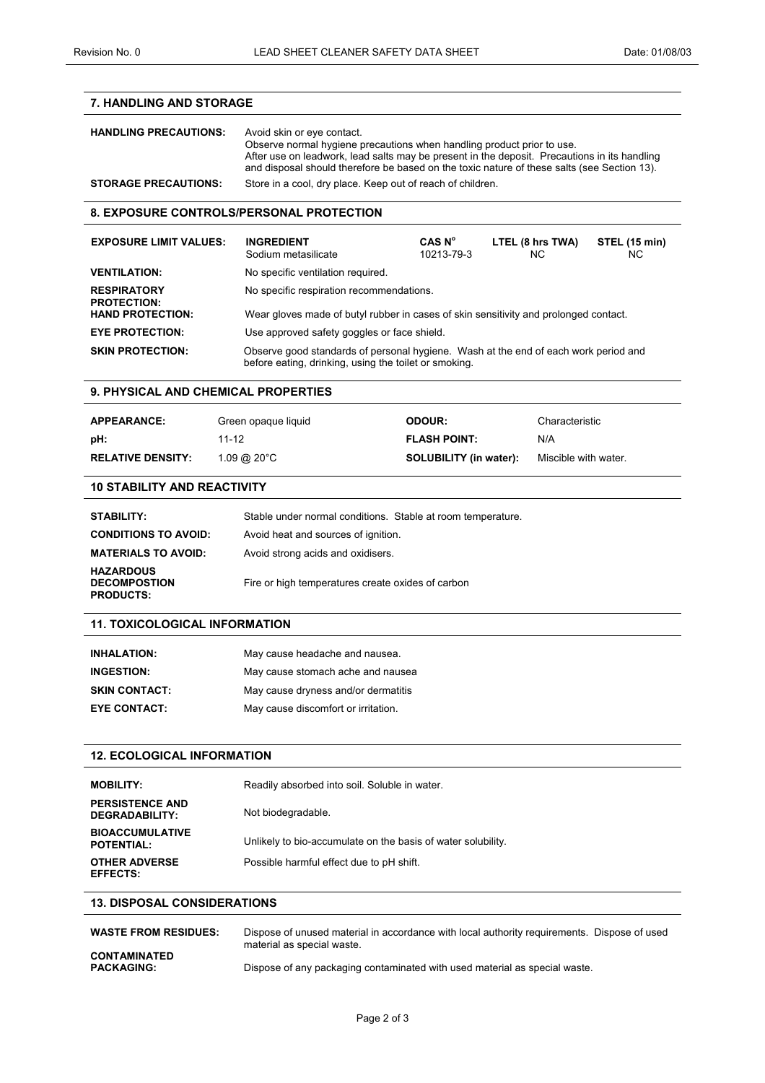| <b>7. HANDLING AND STORAGE</b>                              |                                          |                                                                                                                                                                                                                                                                       |                        |                            |  |  |  |
|-------------------------------------------------------------|------------------------------------------|-----------------------------------------------------------------------------------------------------------------------------------------------------------------------------------------------------------------------------------------------------------------------|------------------------|----------------------------|--|--|--|
| <b>HANDLING PRECAUTIONS:</b>                                | Avoid skin or eye contact.               | Observe normal hygiene precautions when handling product prior to use.<br>After use on leadwork, lead salts may be present in the deposit. Precautions in its handling<br>and disposal should therefore be based on the toxic nature of these salts (see Section 13). |                        |                            |  |  |  |
| <b>STORAGE PRECAUTIONS:</b>                                 |                                          | Store in a cool, dry place. Keep out of reach of children.                                                                                                                                                                                                            |                        |                            |  |  |  |
| <b>8. EXPOSURE CONTROLS/PERSONAL PROTECTION</b>             |                                          |                                                                                                                                                                                                                                                                       |                        |                            |  |  |  |
| <b>EXPOSURE LIMIT VALUES:</b>                               | <b>INGREDIENT</b><br>Sodium metasilicate | CAS N <sup>o</sup><br>10213-79-3                                                                                                                                                                                                                                      | LTEL (8 hrs TWA)<br>ΝC | <b>STEL (15 min)</b><br>NС |  |  |  |
| <b>VENTILATION:</b>                                         | No specific ventilation required.        |                                                                                                                                                                                                                                                                       |                        |                            |  |  |  |
| <b>RESPIRATORY</b><br><b>PROTECTION:</b>                    |                                          | No specific respiration recommendations.                                                                                                                                                                                                                              |                        |                            |  |  |  |
| <b>HAND PROTECTION:</b>                                     |                                          | Wear gloves made of butyl rubber in cases of skin sensitivity and prolonged contact.                                                                                                                                                                                  |                        |                            |  |  |  |
| <b>EYE PROTECTION:</b>                                      |                                          | Use approved safety goggles or face shield.                                                                                                                                                                                                                           |                        |                            |  |  |  |
| <b>SKIN PROTECTION:</b>                                     |                                          | Observe good standards of personal hygiene. Wash at the end of each work period and<br>before eating, drinking, using the toilet or smoking.                                                                                                                          |                        |                            |  |  |  |
| <b>9. PHYSICAL AND CHEMICAL PROPERTIES</b>                  |                                          |                                                                                                                                                                                                                                                                       |                        |                            |  |  |  |
| <b>APPEARANCE:</b>                                          | Green opaque liquid                      | ODOUR:                                                                                                                                                                                                                                                                | Characteristic         |                            |  |  |  |
| pH:                                                         | 11-12                                    | <b>FLASH POINT:</b>                                                                                                                                                                                                                                                   | N/A                    |                            |  |  |  |
| <b>RELATIVE DENSITY:</b>                                    | $1.09 \text{ @ } 20^{\circ}$ C           | <b>SOLUBILITY (in water):</b>                                                                                                                                                                                                                                         | Miscible with water.   |                            |  |  |  |
|                                                             |                                          |                                                                                                                                                                                                                                                                       |                        |                            |  |  |  |
| <b>10 STABILITY AND REACTIVITY</b>                          |                                          |                                                                                                                                                                                                                                                                       |                        |                            |  |  |  |
| <b>STABILITY:</b>                                           |                                          | Stable under normal conditions. Stable at room temperature.                                                                                                                                                                                                           |                        |                            |  |  |  |
| <b>CONDITIONS TO AVOID:</b>                                 | Avoid heat and sources of ignition.      |                                                                                                                                                                                                                                                                       |                        |                            |  |  |  |
| <b>MATERIALS TO AVOID:</b>                                  | Avoid strong acids and oxidisers.        |                                                                                                                                                                                                                                                                       |                        |                            |  |  |  |
| <b>HAZARDOUS</b><br><b>DECOMPOSTION</b><br><b>PRODUCTS:</b> |                                          | Fire or high temperatures create oxides of carbon                                                                                                                                                                                                                     |                        |                            |  |  |  |
| <b>11. TOXICOLOGICAL INFORMATION</b>                        |                                          |                                                                                                                                                                                                                                                                       |                        |                            |  |  |  |
| <b>INHALATION:</b>                                          | May cause headache and nausea.           |                                                                                                                                                                                                                                                                       |                        |                            |  |  |  |
| <b>INGESTION:</b>                                           |                                          | May cause stomach ache and nausea                                                                                                                                                                                                                                     |                        |                            |  |  |  |
| <b>SKIN CONTACT:</b>                                        |                                          | May cause dryness and/or dermatitis                                                                                                                                                                                                                                   |                        |                            |  |  |  |
| <b>EYE CONTACT:</b>                                         | May cause discomfort or irritation.      |                                                                                                                                                                                                                                                                       |                        |                            |  |  |  |
|                                                             |                                          |                                                                                                                                                                                                                                                                       |                        |                            |  |  |  |
| <b>12. ECOLOGICAL INFORMATION</b>                           |                                          |                                                                                                                                                                                                                                                                       |                        |                            |  |  |  |
| <b>MOBILITY:</b>                                            |                                          | Readily absorbed into soil. Soluble in water.                                                                                                                                                                                                                         |                        |                            |  |  |  |
| <b>PERSISTENCE AND</b><br>DEGRADABILITY:                    | Not biodegradable.                       |                                                                                                                                                                                                                                                                       |                        |                            |  |  |  |
| <b>BIOACCUMULATIVE</b><br><b>POTENTIAL:</b>                 |                                          | Unlikely to bio-accumulate on the basis of water solubility.                                                                                                                                                                                                          |                        |                            |  |  |  |
| <b>OTHER ADVERSE</b><br><b>EFFECTS:</b>                     |                                          | Possible harmful effect due to pH shift.                                                                                                                                                                                                                              |                        |                            |  |  |  |
| <b>13. DISPOSAL CONSIDERATIONS</b>                          |                                          |                                                                                                                                                                                                                                                                       |                        |                            |  |  |  |
| <b>WASTE FROM RESIDUES:</b>                                 |                                          | Dispose of unused material in accordance with local authority requirements. Dispose of used                                                                                                                                                                           |                        |                            |  |  |  |
| <b>CONTAMINATED</b><br><b>PACKAGING:</b>                    |                                          | material as special waste.<br>Dispose of any packaging contaminated with used material as special waste.                                                                                                                                                              |                        |                            |  |  |  |
|                                                             |                                          |                                                                                                                                                                                                                                                                       |                        |                            |  |  |  |
|                                                             | Page 2 of 3                              |                                                                                                                                                                                                                                                                       |                        |                            |  |  |  |
|                                                             |                                          |                                                                                                                                                                                                                                                                       |                        |                            |  |  |  |